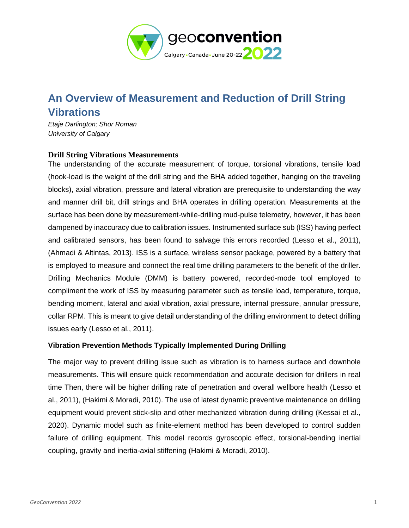

## **An Overview of Measurement and Reduction of Drill String Vibrations**

*Etaje Darlington; Shor Roman University of Calgary*

## **Drill String Vibrations Measurements**

The understanding of the accurate measurement of torque, torsional vibrations, tensile load (hook-load is the weight of the drill string and the BHA added together, hanging on the traveling blocks), axial vibration, pressure and lateral vibration are prerequisite to understanding the way and manner drill bit, drill strings and BHA operates in drilling operation. Measurements at the surface has been done by measurement-while-drilling mud-pulse telemetry, however, it has been dampened by inaccuracy due to calibration issues. Instrumented surface sub (ISS) having perfect and calibrated sensors, has been found to salvage this errors recorded (Lesso et al., 2011), (Ahmadi & Altintas, 2013). ISS is a surface, wireless sensor package, powered by a battery that is employed to measure and connect the real time drilling parameters to the benefit of the driller. Drilling Mechanics Module (DMM) is battery powered, recorded-mode tool employed to compliment the work of ISS by measuring parameter such as tensile load, temperature, torque, bending moment, lateral and axial vibration, axial pressure, internal pressure, annular pressure, collar RPM. This is meant to give detail understanding of the drilling environment to detect drilling issues early (Lesso et al., 2011).

## **Vibration Prevention Methods Typically Implemented During Drilling**

The major way to prevent drilling issue such as vibration is to harness surface and downhole measurements. This will ensure quick recommendation and accurate decision for drillers in real time Then, there will be higher drilling rate of penetration and overall wellbore health (Lesso et al., 2011), (Hakimi & Moradi, 2010). The use of latest dynamic preventive maintenance on drilling equipment would prevent stick-slip and other mechanized vibration during drilling (Kessai et al., 2020). Dynamic model such as finite-element method has been developed to control sudden failure of drilling equipment. This model records gyroscopic effect, torsional-bending inertial coupling, gravity and inertia-axial stiffening (Hakimi & Moradi, 2010).